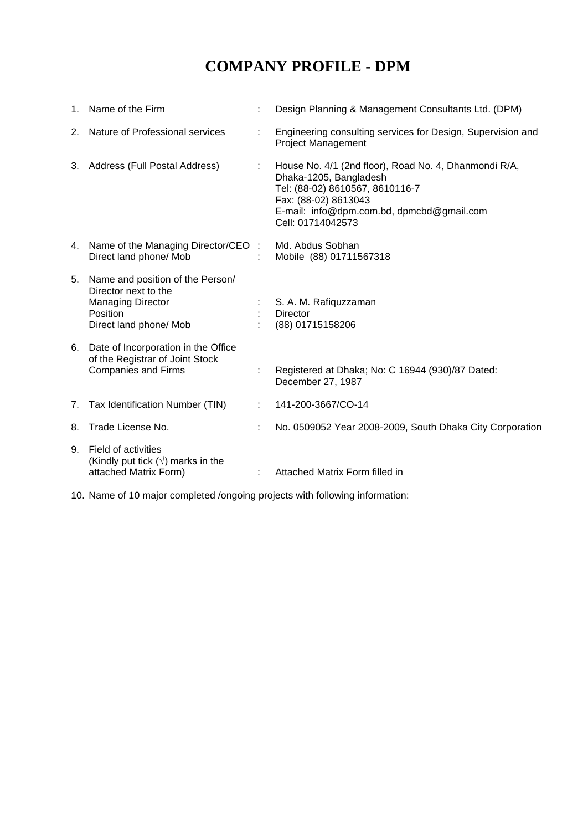# **COMPANY PROFILE - DPM**

| 1. | Name of the Firm                                                                                                                  | Design Planning & Management Consultants Ltd. (DPM)                                                                                                                                                          |
|----|-----------------------------------------------------------------------------------------------------------------------------------|--------------------------------------------------------------------------------------------------------------------------------------------------------------------------------------------------------------|
| 2. | Nature of Professional services                                                                                                   | Engineering consulting services for Design, Supervision and<br><b>Project Management</b>                                                                                                                     |
| 3. | Address (Full Postal Address)                                                                                                     | House No. 4/1 (2nd floor), Road No. 4, Dhanmondi R/A,<br>Dhaka-1205, Bangladesh<br>Tel: (88-02) 8610567, 8610116-7<br>Fax: (88-02) 8613043<br>E-mail: info@dpm.com.bd, dpmcbd@gmail.com<br>Cell: 01714042573 |
|    | 4. Name of the Managing Director/CEO:<br>Direct land phone/ Mob                                                                   | Md. Abdus Sobhan<br>Mobile (88) 01711567318                                                                                                                                                                  |
| 5. | Name and position of the Person/<br>Director next to the<br><b>Managing Director</b><br><b>Position</b><br>Direct land phone/ Mob | S. A. M. Rafiquzzaman<br><b>Director</b><br>(88) 01715158206                                                                                                                                                 |
| 6. | Date of Incorporation in the Office<br>of the Registrar of Joint Stock<br><b>Companies and Firms</b>                              | Registered at Dhaka; No: C 16944 (930)/87 Dated:<br>December 27, 1987                                                                                                                                        |
| 7. | Tax Identification Number (TIN)                                                                                                   | 141-200-3667/CO-14                                                                                                                                                                                           |
| 8. | Trade License No.                                                                                                                 | No. 0509052 Year 2008-2009, South Dhaka City Corporation                                                                                                                                                     |
| 9. | Field of activities<br>(Kindly put tick $(\sqrt{})$ marks in the<br>attached Matrix Form)                                         | Attached Matrix Form filled in                                                                                                                                                                               |

10. Name of 10 major completed /ongoing projects with following information: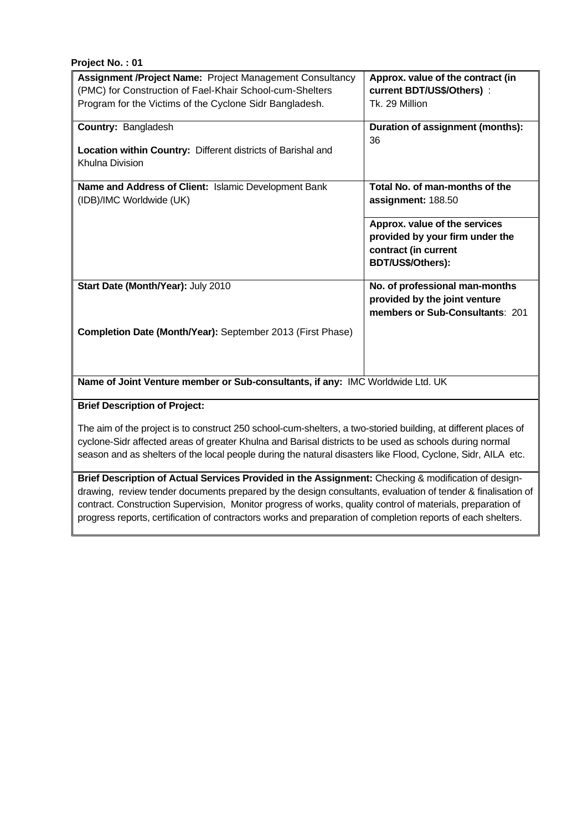| <b>Assignment /Project Name: Project Management Consultancy</b>                | Approx. value of the contract (in |  |
|--------------------------------------------------------------------------------|-----------------------------------|--|
| (PMC) for Construction of Fael-Khair School-cum-Shelters                       | current BDT/US\$/Others) :        |  |
| Program for the Victims of the Cyclone Sidr Bangladesh.                        | Tk. 29 Million                    |  |
| <b>Country: Bangladesh</b>                                                     | Duration of assignment (months):  |  |
|                                                                                | 36                                |  |
| <b>Location within Country: Different districts of Barishal and</b>            |                                   |  |
| Khulna Division                                                                |                                   |  |
|                                                                                |                                   |  |
| Name and Address of Client: Islamic Development Bank                           | Total No. of man-months of the    |  |
| (IDB)/IMC Worldwide (UK)                                                       | assignment: 188.50                |  |
|                                                                                | Approx. value of the services     |  |
|                                                                                | provided by your firm under the   |  |
|                                                                                | contract (in current              |  |
|                                                                                | BDT/US\$/Others):                 |  |
|                                                                                |                                   |  |
| Start Date (Month/Year): July 2010                                             | No. of professional man-months    |  |
|                                                                                | provided by the joint venture     |  |
|                                                                                | members or Sub-Consultants: 201   |  |
| <b>Completion Date (Month/Year):</b> September 2013 (First Phase)              |                                   |  |
|                                                                                |                                   |  |
|                                                                                |                                   |  |
|                                                                                |                                   |  |
| Name of Joint Venture member or Sub-consultants, if any: IMC Worldwide Ltd. UK |                                   |  |

#### **Brief Description of Project:**

The aim of the project is to construct 250 school-cum-shelters, a two-storied building, at different places of cyclone-Sidr affected areas of greater Khulna and Barisal districts to be used as schools during normal season and as shelters of the local people during the natural disasters like Flood, Cyclone, Sidr, AILA etc.

**Brief Description of Actual Services Provided in the Assignment:** Checking & modification of designdrawing, review tender documents prepared by the design consultants, evaluation of tender & finalisation of contract. Construction Supervision, Monitor progress of works, quality control of materials, preparation of progress reports, certification of contractors works and preparation of completion reports of each shelters.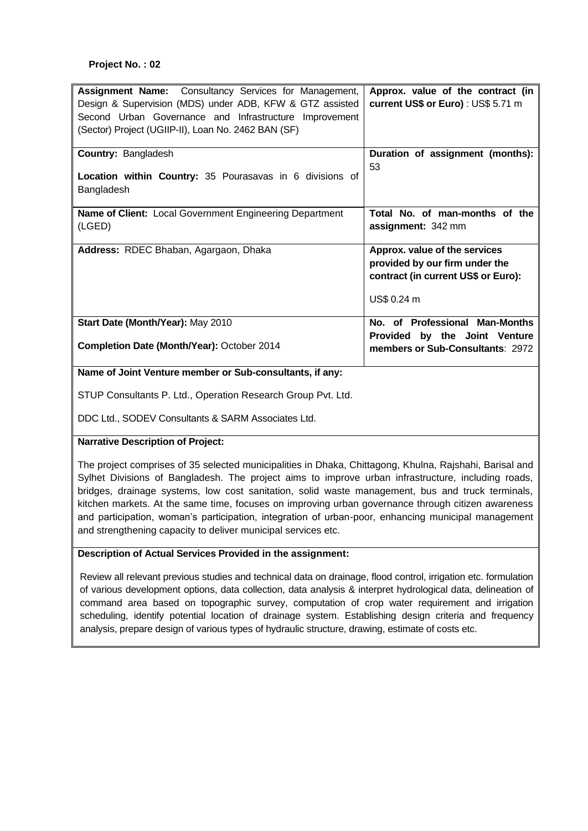| <b>Assignment Name:</b> Consultancy Services for Management,<br>Design & Supervision (MDS) under ADB, KFW & GTZ assisted<br>Second Urban Governance and Infrastructure Improvement<br>(Sector) Project (UGIIP-II), Loan No. 2462 BAN (SF) | Approx. value of the contract (in<br>current US\$ or Euro) : US\$ 5.71 m |
|-------------------------------------------------------------------------------------------------------------------------------------------------------------------------------------------------------------------------------------------|--------------------------------------------------------------------------|
| <b>Country: Bangladesh</b>                                                                                                                                                                                                                | Duration of assignment (months):                                         |
|                                                                                                                                                                                                                                           | 53                                                                       |
| Location within Country: 35 Pourasavas in 6 divisions of                                                                                                                                                                                  |                                                                          |
| Bangladesh                                                                                                                                                                                                                                |                                                                          |
| Name of Client: Local Government Engineering Department                                                                                                                                                                                   | Total No. of man-months of the                                           |
| (LGED)                                                                                                                                                                                                                                    | assignment: 342 mm                                                       |
|                                                                                                                                                                                                                                           |                                                                          |
| Address: RDEC Bhaban, Agargaon, Dhaka                                                                                                                                                                                                     | Approx. value of the services                                            |
|                                                                                                                                                                                                                                           | provided by our firm under the                                           |
|                                                                                                                                                                                                                                           | contract (in current US\$ or Euro):                                      |
|                                                                                                                                                                                                                                           | US\$ 0.24 m                                                              |
| Start Date (Month/Year): May 2010                                                                                                                                                                                                         | No. of Professional Man-Months                                           |
|                                                                                                                                                                                                                                           | Provided by the Joint Venture                                            |
| Completion Date (Month/Year): October 2014                                                                                                                                                                                                | members or Sub-Consultants: 2972                                         |

#### **Name of Joint Venture member or Sub-consultants, if any:**

STUP Consultants P. Ltd., Operation Research Group Pvt. Ltd.

DDC Ltd., SODEV Consultants & SARM Associates Ltd.

#### **Narrative Description of Project:**

The project comprises of 35 selected municipalities in Dhaka, Chittagong, Khulna, Rajshahi, Barisal and Sylhet Divisions of Bangladesh. The project aims to improve urban infrastructure, including roads, bridges, drainage systems, low cost sanitation, solid waste management, bus and truck terminals, kitchen markets. At the same time, focuses on improving urban governance through citizen awareness and participation, woman's participation, integration of urban-poor, enhancing municipal management and strengthening capacity to deliver municipal services etc.

#### **Description of Actual Services Provided in the assignment:**

Review all relevant previous studies and technical data on drainage, flood control, irrigation etc. formulation of various development options, data collection, data analysis & interpret hydrological data, delineation of command area based on topographic survey, computation of crop water requirement and irrigation scheduling, identify potential location of drainage system. Establishing design criteria and frequency analysis, prepare design of various types of hydraulic structure, drawing, estimate of costs etc.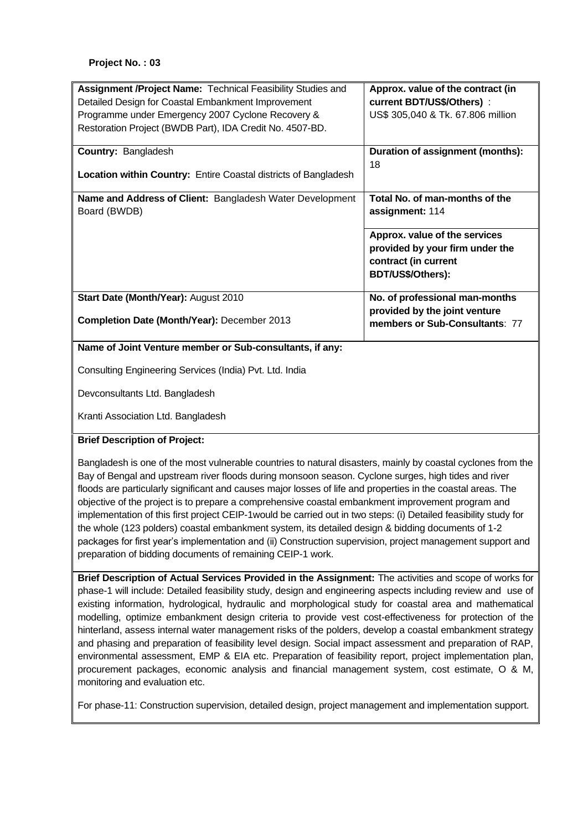| Assignment /Project Name: Technical Feasibility Studies and<br>Detailed Design for Coastal Embankment Improvement<br>Programme under Emergency 2007 Cyclone Recovery &<br>Restoration Project (BWDB Part), IDA Credit No. 4507-BD. | Approx. value of the contract (in<br>current BDT/US\$/Others) :<br>US\$ 305,040 & Tk. 67.806 million          |
|------------------------------------------------------------------------------------------------------------------------------------------------------------------------------------------------------------------------------------|---------------------------------------------------------------------------------------------------------------|
| <b>Country: Bangladesh</b><br>Location within Country: Entire Coastal districts of Bangladesh                                                                                                                                      | Duration of assignment (months):<br>18                                                                        |
|                                                                                                                                                                                                                                    |                                                                                                               |
| Name and Address of Client: Bangladesh Water Development<br>Board (BWDB)                                                                                                                                                           | Total No. of man-months of the<br>assignment: 114                                                             |
|                                                                                                                                                                                                                                    | Approx. value of the services<br>provided by your firm under the<br>contract (in current<br>BDT/US\$/Others): |
| Start Date (Month/Year): August 2010                                                                                                                                                                                               | No. of professional man-months                                                                                |
| Completion Date (Month/Year): December 2013                                                                                                                                                                                        | provided by the joint venture<br>members or Sub-Consultants: 77                                               |
| Name of Joint Venture member or Sub-consultants, if any:                                                                                                                                                                           |                                                                                                               |
| Consulting Engineering Services (India) Pvt. Ltd. India                                                                                                                                                                            |                                                                                                               |
| Devconsultants Ltd. Bangladesh                                                                                                                                                                                                     |                                                                                                               |
| Kranti Association Ltd. Bangladesh                                                                                                                                                                                                 |                                                                                                               |

#### **Brief Description of Project:**

Bangladesh is one of the most vulnerable countries to natural disasters, mainly by coastal cyclones from the Bay of Bengal and upstream river floods during monsoon season. Cyclone surges, high tides and river floods are particularly significant and causes major losses of life and properties in the coastal areas. The objective of the project is to prepare a comprehensive coastal embankment improvement program and implementation of this first project CEIP-1would be carried out in two steps: (i) Detailed feasibility study for the whole (123 polders) coastal embankment system, its detailed design & bidding documents of 1-2 packages for first year's implementation and (ii) Construction supervision, project management support and preparation of bidding documents of remaining CEIP-1 work.

**Brief Description of Actual Services Provided in the Assignment:** The activities and scope of works for phase-1 will include: Detailed feasibility study, design and engineering aspects including review and use of existing information, hydrological, hydraulic and morphological study for coastal area and mathematical modelling, optimize embankment design criteria to provide vest cost-effectiveness for protection of the hinterland, assess internal water management risks of the polders, develop a coastal embankment strategy and phasing and preparation of feasibility level design. Social impact assessment and preparation of RAP, environmental assessment, EMP & EIA etc. Preparation of feasibility report, project implementation plan, procurement packages, economic analysis and financial management system, cost estimate, O & M, monitoring and evaluation etc.

For phase-11: Construction supervision, detailed design, project management and implementation support.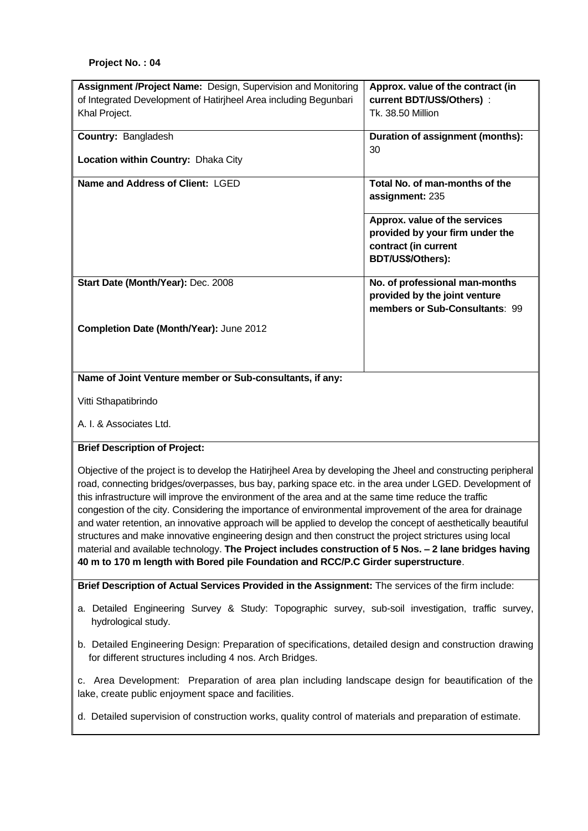| Assignment /Project Name: Design, Supervision and Monitoring     | Approx. value of the contract (in                                                                             |  |
|------------------------------------------------------------------|---------------------------------------------------------------------------------------------------------------|--|
| of Integrated Development of Hatirjheel Area including Begunbari | current BDT/US\$/Others) :                                                                                    |  |
| Khal Project.                                                    | Tk. 38.50 Million                                                                                             |  |
| <b>Country: Bangladesh</b>                                       | Duration of assignment (months):<br>30                                                                        |  |
| <b>Location within Country: Dhaka City</b>                       |                                                                                                               |  |
| Name and Address of Client: LGED                                 | Total No. of man-months of the<br>assignment: 235                                                             |  |
|                                                                  | Approx. value of the services<br>provided by your firm under the<br>contract (in current<br>BDT/US\$/Others): |  |
| Start Date (Month/Year): Dec. 2008                               | No. of professional man-months<br>provided by the joint venture<br>members or Sub-Consultants: 99             |  |
| Completion Date (Month/Year): June 2012                          |                                                                                                               |  |
| Name of Joint Venture member or Sub-consultants, if any:         |                                                                                                               |  |

Vitti Sthapatibrindo

A. I. & Associates Ltd.

#### **Brief Description of Project:**

Objective of the project is to develop the Hatirjheel Area by developing the Jheel and constructing peripheral road, connecting bridges/overpasses, bus bay, parking space etc. in the area under LGED. Development of this infrastructure will improve the environment of the area and at the same time reduce the traffic congestion of the city. Considering the importance of environmental improvement of the area for drainage and water retention, an innovative approach will be applied to develop the concept of aesthetically beautiful structures and make innovative engineering design and then construct the project strictures using local material and available technology. **The Project includes construction of 5 Nos. – 2 lane bridges having 40 m to 170 m length with Bored pile Foundation and RCC/P.C Girder superstructure**.

**Brief Description of Actual Services Provided in the Assignment:** The services of the firm include:

- a. Detailed Engineering Survey & Study: Topographic survey, sub-soil investigation, traffic survey, hydrological study.
- b. Detailed Engineering Design: Preparation of specifications, detailed design and construction drawing for different structures including 4 nos. Arch Bridges.

c. Area Development: Preparation of area plan including landscape design for beautification of the lake, create public enjoyment space and facilities.

d. Detailed supervision of construction works, quality control of materials and preparation of estimate.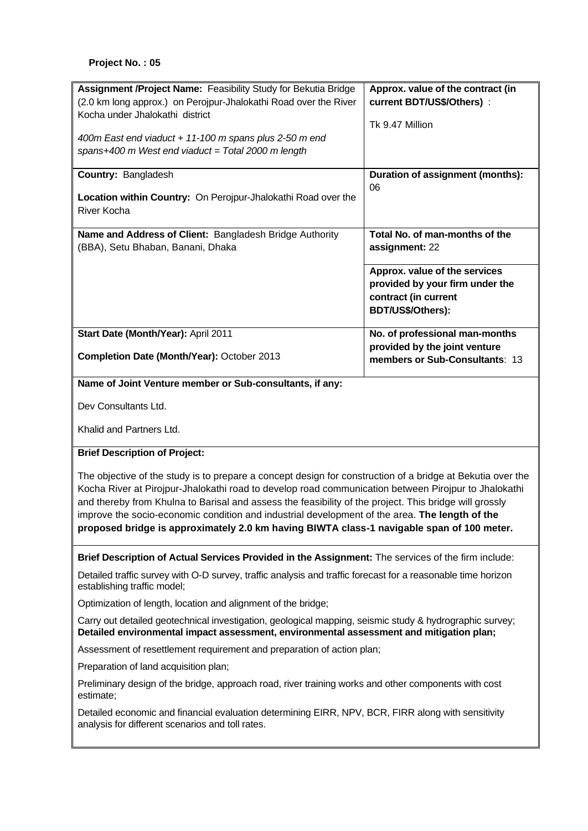| Assignment /Project Name: Feasibility Study for Bekutia Bridge                                                                                                                                                                                                                                                                                                                                                                                                                                                              | Approx. value of the contract (in                               |  |  |
|-----------------------------------------------------------------------------------------------------------------------------------------------------------------------------------------------------------------------------------------------------------------------------------------------------------------------------------------------------------------------------------------------------------------------------------------------------------------------------------------------------------------------------|-----------------------------------------------------------------|--|--|
| (2.0 km long approx.) on Perojpur-Jhalokathi Road over the River                                                                                                                                                                                                                                                                                                                                                                                                                                                            | current BDT/US\$/Others) :                                      |  |  |
| Kocha under Jhalokathi district                                                                                                                                                                                                                                                                                                                                                                                                                                                                                             | Tk 9.47 Million                                                 |  |  |
| 400m East end viaduct + 11-100 m spans plus 2-50 m end                                                                                                                                                                                                                                                                                                                                                                                                                                                                      |                                                                 |  |  |
| spans+400 m West end viaduct = Total 2000 m length                                                                                                                                                                                                                                                                                                                                                                                                                                                                          |                                                                 |  |  |
| Country: Bangladesh                                                                                                                                                                                                                                                                                                                                                                                                                                                                                                         | Duration of assignment (months):                                |  |  |
| Location within Country: On Perojpur-Jhalokathi Road over the                                                                                                                                                                                                                                                                                                                                                                                                                                                               | 06                                                              |  |  |
| River Kocha                                                                                                                                                                                                                                                                                                                                                                                                                                                                                                                 |                                                                 |  |  |
| Name and Address of Client: Bangladesh Bridge Authority                                                                                                                                                                                                                                                                                                                                                                                                                                                                     | Total No. of man-months of the                                  |  |  |
| (BBA), Setu Bhaban, Banani, Dhaka                                                                                                                                                                                                                                                                                                                                                                                                                                                                                           | assignment: 22                                                  |  |  |
|                                                                                                                                                                                                                                                                                                                                                                                                                                                                                                                             | Approx. value of the services                                   |  |  |
|                                                                                                                                                                                                                                                                                                                                                                                                                                                                                                                             | provided by your firm under the                                 |  |  |
|                                                                                                                                                                                                                                                                                                                                                                                                                                                                                                                             | contract (in current                                            |  |  |
|                                                                                                                                                                                                                                                                                                                                                                                                                                                                                                                             | BDT/US\$/Others):                                               |  |  |
| Start Date (Month/Year): April 2011                                                                                                                                                                                                                                                                                                                                                                                                                                                                                         | No. of professional man-months                                  |  |  |
| Completion Date (Month/Year): October 2013                                                                                                                                                                                                                                                                                                                                                                                                                                                                                  | provided by the joint venture<br>members or Sub-Consultants: 13 |  |  |
| Name of Joint Venture member or Sub-consultants, if any:                                                                                                                                                                                                                                                                                                                                                                                                                                                                    |                                                                 |  |  |
| Dev Consultants Ltd.                                                                                                                                                                                                                                                                                                                                                                                                                                                                                                        |                                                                 |  |  |
| Khalid and Partners Ltd.                                                                                                                                                                                                                                                                                                                                                                                                                                                                                                    |                                                                 |  |  |
| <b>Brief Description of Project:</b>                                                                                                                                                                                                                                                                                                                                                                                                                                                                                        |                                                                 |  |  |
| The objective of the study is to prepare a concept design for construction of a bridge at Bekutia over the<br>Kocha River at Pirojpur-Jhalokathi road to develop road communication between Pirojpur to Jhalokathi<br>and thereby from Khulna to Barisal and assess the feasibility of the project. This bridge will grossly<br>improve the socio-economic condition and industrial development of the area. The length of the<br>proposed bridge is approximately 2.0 km having BIWTA class-1 navigable span of 100 meter. |                                                                 |  |  |
| Brief Description of Actual Services Provided in the Assignment: The services of the firm include:                                                                                                                                                                                                                                                                                                                                                                                                                          |                                                                 |  |  |
| Detailed traffic survey with O-D survey, traffic analysis and traffic forecast for a reasonable time horizon<br>establishing traffic model;                                                                                                                                                                                                                                                                                                                                                                                 |                                                                 |  |  |
| Optimization of length, location and alignment of the bridge;                                                                                                                                                                                                                                                                                                                                                                                                                                                               |                                                                 |  |  |
| Carry out detailed geotechnical investigation, geological mapping, seismic study & hydrographic survey;<br>Detailed environmental impact assessment, environmental assessment and mitigation plan;                                                                                                                                                                                                                                                                                                                          |                                                                 |  |  |
| Assessment of resettlement requirement and preparation of action plan;                                                                                                                                                                                                                                                                                                                                                                                                                                                      |                                                                 |  |  |
| Preparation of land acquisition plan;                                                                                                                                                                                                                                                                                                                                                                                                                                                                                       |                                                                 |  |  |
| Preliminary design of the bridge, approach road, river training works and other components with cost<br>estimate;                                                                                                                                                                                                                                                                                                                                                                                                           |                                                                 |  |  |
| Detailed economic and financial evaluation determining EIRR, NPV, BCR, FIRR along with sensitivity<br>analysis for different scenarios and toll rates.                                                                                                                                                                                                                                                                                                                                                                      |                                                                 |  |  |
|                                                                                                                                                                                                                                                                                                                                                                                                                                                                                                                             |                                                                 |  |  |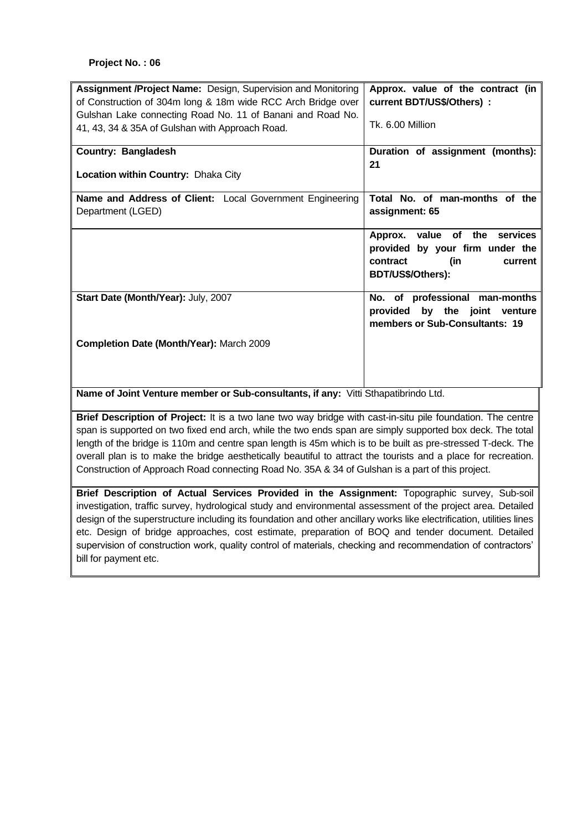| Assignment /Project Name: Design, Supervision and Monitoring                       | Approx. value of the contract (in |  |
|------------------------------------------------------------------------------------|-----------------------------------|--|
| of Construction of 304m long & 18m wide RCC Arch Bridge over                       | current BDT/US\$/Others) :        |  |
| Gulshan Lake connecting Road No. 11 of Banani and Road No.                         |                                   |  |
| 41, 43, 34 & 35A of Gulshan with Approach Road.                                    | Tk. 6.00 Million                  |  |
| <b>Country: Bangladesh</b>                                                         | Duration of assignment (months):  |  |
|                                                                                    | 21                                |  |
| Location within Country: Dhaka City                                                |                                   |  |
| Name and Address of Client: Local Government Engineering                           | Total No. of man-months of the    |  |
| Department (LGED)                                                                  | assignment: 65                    |  |
|                                                                                    | Approx. value of the<br>services  |  |
|                                                                                    | provided by your firm under the   |  |
|                                                                                    | contract<br>(in<br>current        |  |
|                                                                                    | BDT/US\$/Others):                 |  |
| Start Date (Month/Year): July, 2007                                                | No. of professional man-months    |  |
|                                                                                    | provided by the joint venture     |  |
|                                                                                    | members or Sub-Consultants: 19    |  |
| Completion Date (Month/Year): March 2009                                           |                                   |  |
|                                                                                    |                                   |  |
|                                                                                    |                                   |  |
|                                                                                    |                                   |  |
| Name of Joint Venture member or Sub-consultants, if any: Vitti Sthapatibrindo Ltd. |                                   |  |

**Brief Description of Project:** It is a two lane two way bridge with cast-in-situ pile foundation. The centre span is supported on two fixed end arch, while the two ends span are simply supported box deck. The total length of the bridge is 110m and centre span length is 45m which is to be built as pre-stressed T-deck. The overall plan is to make the bridge aesthetically beautiful to attract the tourists and a place for recreation. Construction of Approach Road connecting Road No. 35A & 34 of Gulshan is a part of this project.

**Brief Description of Actual Services Provided in the Assignment:** Topographic survey, Sub-soil investigation, traffic survey, hydrological study and environmental assessment of the project area. Detailed design of the superstructure including its foundation and other ancillary works like electrification, utilities lines etc. Design of bridge approaches, cost estimate, preparation of BOQ and tender document. Detailed supervision of construction work, quality control of materials, checking and recommendation of contractors' bill for payment etc.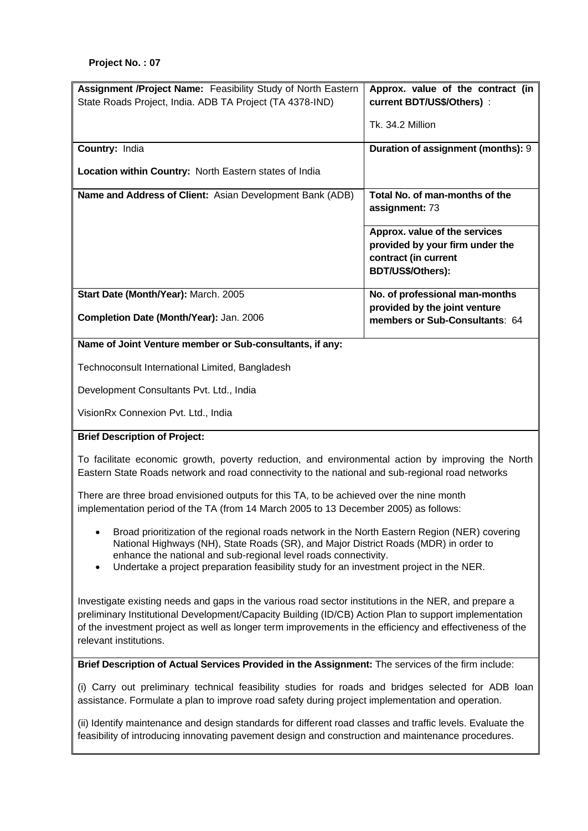| Assignment /Project Name: Feasibility Study of North Eastern                                                                                                                                                                                                                                                                                             | Approx. value of the contract (in                                                                             |  |  |
|----------------------------------------------------------------------------------------------------------------------------------------------------------------------------------------------------------------------------------------------------------------------------------------------------------------------------------------------------------|---------------------------------------------------------------------------------------------------------------|--|--|
| State Roads Project, India. ADB TA Project (TA 4378-IND)                                                                                                                                                                                                                                                                                                 | current BDT/US\$/Others) :                                                                                    |  |  |
|                                                                                                                                                                                                                                                                                                                                                          | Tk. 34.2 Million                                                                                              |  |  |
| Country: India                                                                                                                                                                                                                                                                                                                                           | Duration of assignment (months): 9                                                                            |  |  |
| Location within Country: North Eastern states of India                                                                                                                                                                                                                                                                                                   |                                                                                                               |  |  |
| Name and Address of Client: Asian Development Bank (ADB)                                                                                                                                                                                                                                                                                                 | Total No. of man-months of the<br>assignment: 73                                                              |  |  |
|                                                                                                                                                                                                                                                                                                                                                          | Approx. value of the services<br>provided by your firm under the<br>contract (in current<br>BDT/US\$/Others): |  |  |
| Start Date (Month/Year): March. 2005                                                                                                                                                                                                                                                                                                                     | No. of professional man-months                                                                                |  |  |
| Completion Date (Month/Year): Jan. 2006                                                                                                                                                                                                                                                                                                                  | provided by the joint venture<br>members or Sub-Consultants: 64                                               |  |  |
| Name of Joint Venture member or Sub-consultants, if any:                                                                                                                                                                                                                                                                                                 |                                                                                                               |  |  |
| Technoconsult International Limited, Bangladesh                                                                                                                                                                                                                                                                                                          |                                                                                                               |  |  |
| Development Consultants Pvt. Ltd., India                                                                                                                                                                                                                                                                                                                 |                                                                                                               |  |  |
| VisionRx Connexion Pvt. Ltd., India                                                                                                                                                                                                                                                                                                                      |                                                                                                               |  |  |
| <b>Brief Description of Project:</b>                                                                                                                                                                                                                                                                                                                     |                                                                                                               |  |  |
| To facilitate economic growth, poverty reduction, and environmental action by improving the North<br>Eastern State Roads network and road connectivity to the national and sub-regional road networks                                                                                                                                                    |                                                                                                               |  |  |
| There are three broad envisioned outputs for this TA, to be achieved over the nine month<br>implementation period of the TA (from 14 March 2005 to 13 December 2005) as follows:                                                                                                                                                                         |                                                                                                               |  |  |
| Broad prioritization of the regional roads network in the North Eastern Region (NER) covering<br>National Highways (NH), State Roads (SR), and Major District Roads (MDR) in order to<br>enhance the national and sub-regional level roads connectivity.<br>Undertake a project preparation feasibility study for an investment project in the NER.<br>٠ |                                                                                                               |  |  |
| Investigate existing needs and gaps in the various road sector institutions in the NER, and prepare a<br>preliminary Institutional Development/Capacity Building (ID/CB) Action Plan to support implementation<br>of the investment project as well as longer term improvements in the efficiency and effectiveness of the<br>relevant institutions.     |                                                                                                               |  |  |
| Brief Description of Actual Services Provided in the Assignment: The services of the firm include:                                                                                                                                                                                                                                                       |                                                                                                               |  |  |

(i) Carry out preliminary technical feasibility studies for roads and bridges selected for ADB loan assistance. Formulate a plan to improve road safety during project implementation and operation.

(ii) Identify maintenance and design standards for different road classes and traffic levels. Evaluate the feasibility of introducing innovating pavement design and construction and maintenance procedures.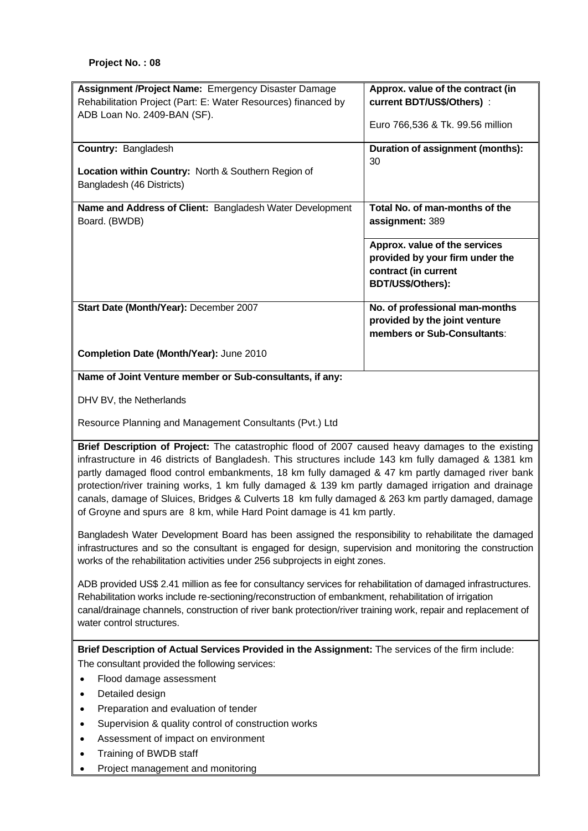| Assignment /Project Name: Emergency Disaster Damage                                                           | Approx. value of the contract (in |  |  |
|---------------------------------------------------------------------------------------------------------------|-----------------------------------|--|--|
| Rehabilitation Project (Part: E: Water Resources) financed by                                                 | current BDT/US\$/Others) :        |  |  |
| ADB Loan No. 2409-BAN (SF).                                                                                   | Euro 766,536 & Tk. 99.56 million  |  |  |
| Country: Bangladesh                                                                                           | Duration of assignment (months):  |  |  |
|                                                                                                               | 30                                |  |  |
| Location within Country: North & Southern Region of                                                           |                                   |  |  |
| Bangladesh (46 Districts)                                                                                     |                                   |  |  |
| Name and Address of Client: Bangladesh Water Development                                                      | Total No. of man-months of the    |  |  |
| Board. (BWDB)                                                                                                 | assignment: 389                   |  |  |
|                                                                                                               |                                   |  |  |
|                                                                                                               | Approx. value of the services     |  |  |
|                                                                                                               | provided by your firm under the   |  |  |
|                                                                                                               | contract (in current              |  |  |
|                                                                                                               | BDT/US\$/Others):                 |  |  |
| Start Date (Month/Year): December 2007                                                                        | No. of professional man-months    |  |  |
|                                                                                                               | provided by the joint venture     |  |  |
|                                                                                                               | members or Sub-Consultants:       |  |  |
| Completion Date (Month/Year): June 2010                                                                       |                                   |  |  |
| Name of Joint Venture member or Sub-consultants, if any:                                                      |                                   |  |  |
|                                                                                                               |                                   |  |  |
| DHV BV, the Netherlands                                                                                       |                                   |  |  |
| Resource Planning and Management Consultants (Pvt.) Ltd                                                       |                                   |  |  |
| Brief Description of Project: The catastrophic flood of 2007 caused heavy damages to the existing             |                                   |  |  |
| infrastructure in 46 districts of Bangladesh. This structures include 143 km fully damaged & 1381 km          |                                   |  |  |
| partly damaged flood control embankments, 18 km fully damaged & 47 km partly damaged river bank               |                                   |  |  |
| protection/river training works, 1 km fully damaged & 139 km partly damaged irrigation and drainage           |                                   |  |  |
| canals, damage of Sluices, Bridges & Culverts 18 km fully damaged & 263 km partly damaged, damage             |                                   |  |  |
| of Groyne and spurs are 8 km, while Hard Point damage is 41 km partly.                                        |                                   |  |  |
| Bangladesh Water Development Board has been assigned the responsibility to rehabilitate the damaged           |                                   |  |  |
| infrastructures and so the consultant is engaged for design, supervision and monitoring the construction      |                                   |  |  |
| works of the rehabilitation activities under 256 subprojects in eight zones.                                  |                                   |  |  |
| ADB provided US\$ 2.41 million as fee for consultancy services for rehabilitation of damaged infrastructures. |                                   |  |  |
| Rehabilitation works include re-sectioning/reconstruction of embankment, rehabilitation of irrigation         |                                   |  |  |
| canal/drainage channels, construction of river bank protection/river training work, repair and replacement of |                                   |  |  |
| water control structures.                                                                                     |                                   |  |  |
|                                                                                                               |                                   |  |  |
| Brief Description of Actual Services Provided in the Assignment: The services of the firm include:            |                                   |  |  |
| The consultant provided the following services:                                                               |                                   |  |  |
| Flood damage assessment                                                                                       |                                   |  |  |
| Detailed design<br>٠                                                                                          |                                   |  |  |
| Preparation and evaluation of tender<br>$\bullet$                                                             |                                   |  |  |
| Supervision & quality control of construction works<br>$\bullet$                                              |                                   |  |  |
| Assessment of impact on environment                                                                           |                                   |  |  |
| Training of BWDB staff                                                                                        |                                   |  |  |

• Project management and monitoring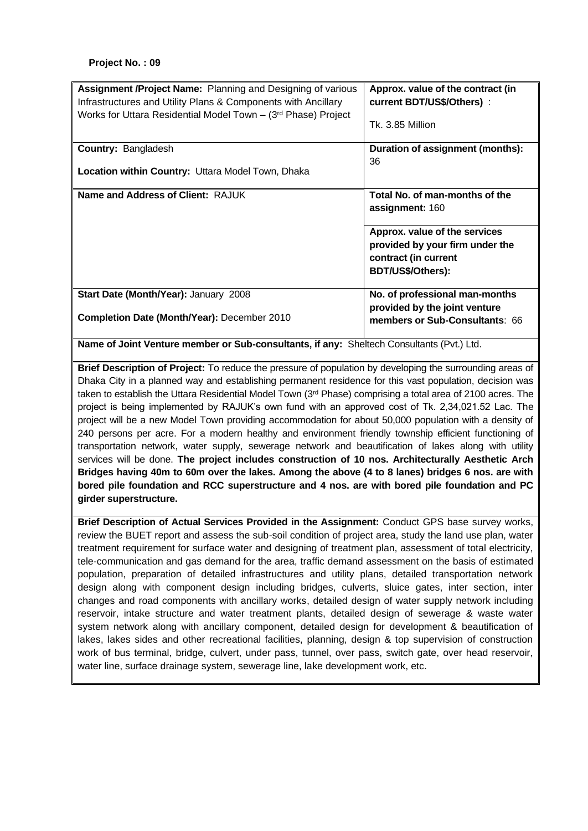| <b>Assignment /Project Name:</b> Planning and Designing of various<br>Infrastructures and Utility Plans & Components with Ancillary<br>Works for Uttara Residential Model Town - (3rd Phase) Project | Approx. value of the contract (in<br>current BDT/US\$/Others) :<br>Tk. 3.85 Million                           |
|------------------------------------------------------------------------------------------------------------------------------------------------------------------------------------------------------|---------------------------------------------------------------------------------------------------------------|
| <b>Country: Bangladesh</b>                                                                                                                                                                           | Duration of assignment (months):<br>36                                                                        |
| <b>Location within Country: Uttara Model Town, Dhaka</b>                                                                                                                                             |                                                                                                               |
| Name and Address of Client: RAJUK                                                                                                                                                                    | Total No. of man-months of the<br>assignment: 160                                                             |
|                                                                                                                                                                                                      | Approx. value of the services<br>provided by your firm under the<br>contract (in current<br>BDT/US\$/Others): |
| Start Date (Month/Year): January 2008<br>Completion Date (Month/Year): December 2010                                                                                                                 | No. of professional man-months<br>provided by the joint venture<br>members or Sub-Consultants: 66             |

**Name of Joint Venture member or Sub-consultants, if any:** Sheltech Consultants (Pvt.) Ltd.

**Brief Description of Project:** To reduce the pressure of population by developing the surrounding areas of Dhaka City in a planned way and establishing permanent residence for this vast population, decision was taken to establish the Uttara Residential Model Town (3<sup>rd</sup> Phase) comprising a total area of 2100 acres. The project is being implemented by RAJUK's own fund with an approved cost of Tk. 2,34,021.52 Lac. The project will be a new Model Town providing accommodation for about 50,000 population with a density of 240 persons per acre. For a modern healthy and environment friendly township efficient functioning of transportation network, water supply, sewerage network and beautification of lakes along with utility services will be done. **The project includes construction of 10 nos. Architecturally Aesthetic Arch Bridges having 40m to 60m over the lakes. Among the above (4 to 8 lanes) bridges 6 nos. are with bored pile foundation and RCC superstructure and 4 nos. are with bored pile foundation and PC girder superstructure.**

**Brief Description of Actual Services Provided in the Assignment:** Conduct GPS base survey works, review the BUET report and assess the sub-soil condition of project area, study the land use plan, water treatment requirement for surface water and designing of treatment plan, assessment of total electricity, tele-communication and gas demand for the area, traffic demand assessment on the basis of estimated population, preparation of detailed infrastructures and utility plans, detailed transportation network design along with component design including bridges, culverts, sluice gates, inter section, inter changes and road components with ancillary works, detailed design of water supply network including reservoir, intake structure and water treatment plants, detailed design of sewerage & waste water system network along with ancillary component, detailed design for development & beautification of lakes, lakes sides and other recreational facilities, planning, design & top supervision of construction work of bus terminal, bridge, culvert, under pass, tunnel, over pass, switch gate, over head reservoir, water line, surface drainage system, sewerage line, lake development work, etc.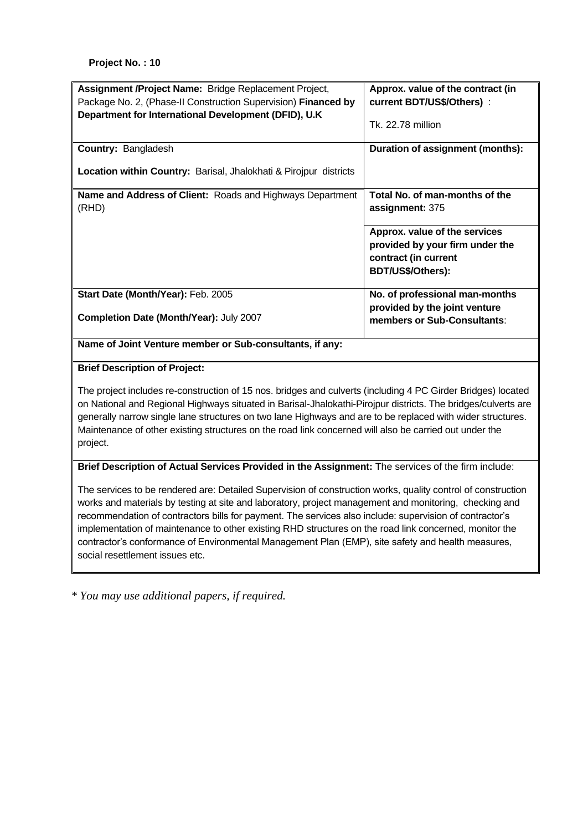| Assignment /Project Name: Bridge Replacement Project,<br>Package No. 2, (Phase-II Construction Supervision) Financed by<br>Department for International Development (DFID), U.K | Approx. value of the contract (in<br>current BDT/US\$/Others):<br>Tk. 22.78 million                           |  |
|---------------------------------------------------------------------------------------------------------------------------------------------------------------------------------|---------------------------------------------------------------------------------------------------------------|--|
| <b>Country: Bangladesh</b><br><b>Location within Country:</b> Barisal, Jhalokhati & Pirojpur districts                                                                          | Duration of assignment (months):                                                                              |  |
| <b>Name and Address of Client: Roads and Highways Department</b><br>(RHD)                                                                                                       | Total No. of man-months of the<br>assignment: 375                                                             |  |
|                                                                                                                                                                                 | Approx. value of the services<br>provided by your firm under the<br>contract (in current<br>BDT/US\$/Others): |  |
| Start Date (Month/Year): Feb. 2005<br>Completion Date (Month/Year): July 2007                                                                                                   | No. of professional man-months<br>provided by the joint venture<br>members or Sub-Consultants:                |  |
| Name of Joint Venture member or Sub-consultants, if any:                                                                                                                        |                                                                                                               |  |

### **Brief Description of Project:**

The project includes re-construction of 15 nos. bridges and culverts (including 4 PC Girder Bridges) located on National and Regional Highways situated in Barisal-Jhalokathi-Pirojpur districts. The bridges/culverts are generally narrow single lane structures on two lane Highways and are to be replaced with wider structures. Maintenance of other existing structures on the road link concerned will also be carried out under the project.

#### **Brief Description of Actual Services Provided in the Assignment:** The services of the firm include:

The services to be rendered are: Detailed Supervision of construction works, quality control of construction works and materials by testing at site and laboratory, project management and monitoring, checking and recommendation of contractors bills for payment. The services also include: supervision of contractor's implementation of maintenance to other existing RHD structures on the road link concerned, monitor the contractor's conformance of Environmental Management Plan (EMP), site safety and health measures, social resettlement issues etc.

*\* You may use additional papers, if required.*